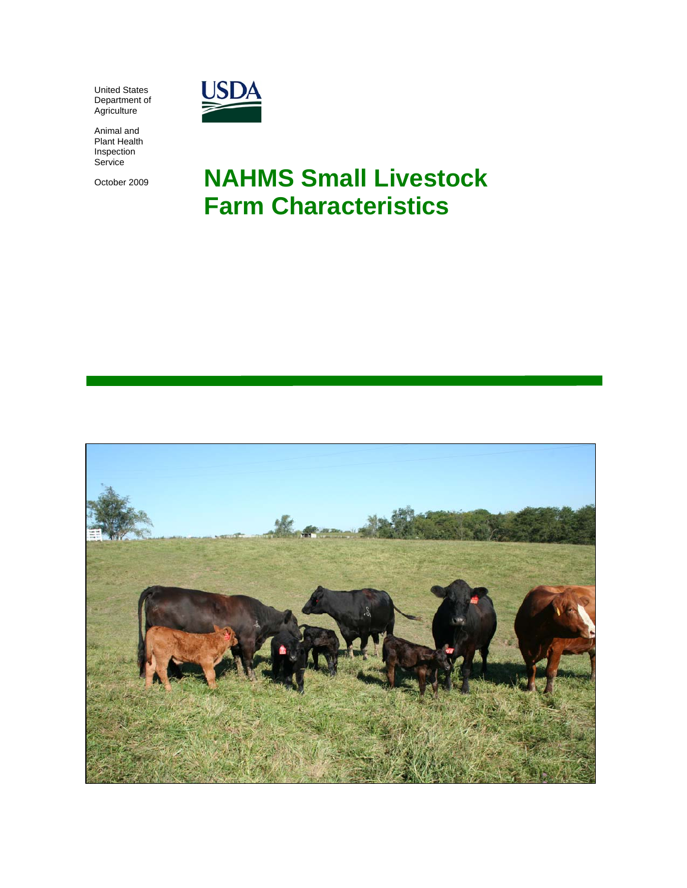United States Department of **Agriculture** 



Animal and Plant Health Inspection Service

October 2009

# **NAHMS Small Livestock Farm Characteristics**

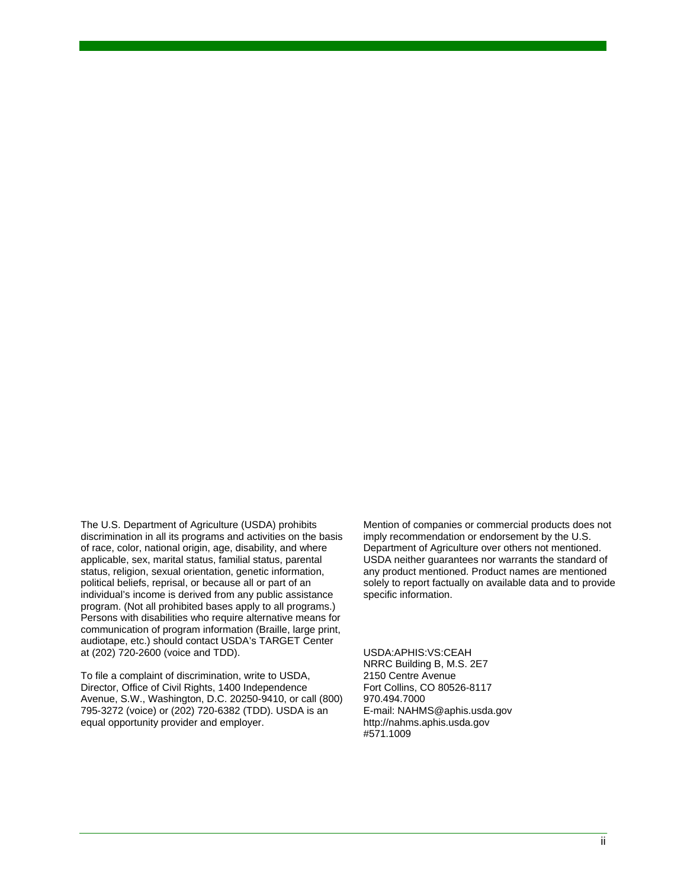The U.S. Department of Agriculture (USDA) prohibits discrimination in all its programs and activities on the basis of race, color, national origin, age, disability, and where applicable, sex, marital status, familial status, parental status, religion, sexual orientation, genetic information, political beliefs, reprisal, or because all or part of an individual's income is derived from any public assistance program. (Not all prohibited bases apply to all programs.) Persons with disabilities who require alternative means for communication of program information (Braille, large print, audiotape, etc.) should contact USDA's TARGET Center at (202) 720-2600 (voice and TDD).

To file a complaint of discrimination, write to USDA, Director, Office of Civil Rights, 1400 Independence Avenue, S.W., Washington, D.C. 20250-9410, or call (800) 795-3272 (voice) or (202) 720-6382 (TDD). USDA is an equal opportunity provider and employer.

Mention of companies or commercial products does not imply recommendation or endorsement by the U.S. Department of Agriculture over others not mentioned. USDA neither guarantees nor warrants the standard of any product mentioned. Product names are mentioned solely to report factually on available data and to provide specific information.

USDA:APHIS:VS:CEAH NRRC Building B, M.S. 2E7 2150 Centre Avenue Fort Collins, CO 80526-8117 970.494.7000 E-mail: NAHMS@aphis.usda.gov http://nahms.aphis.usda.gov #571.1009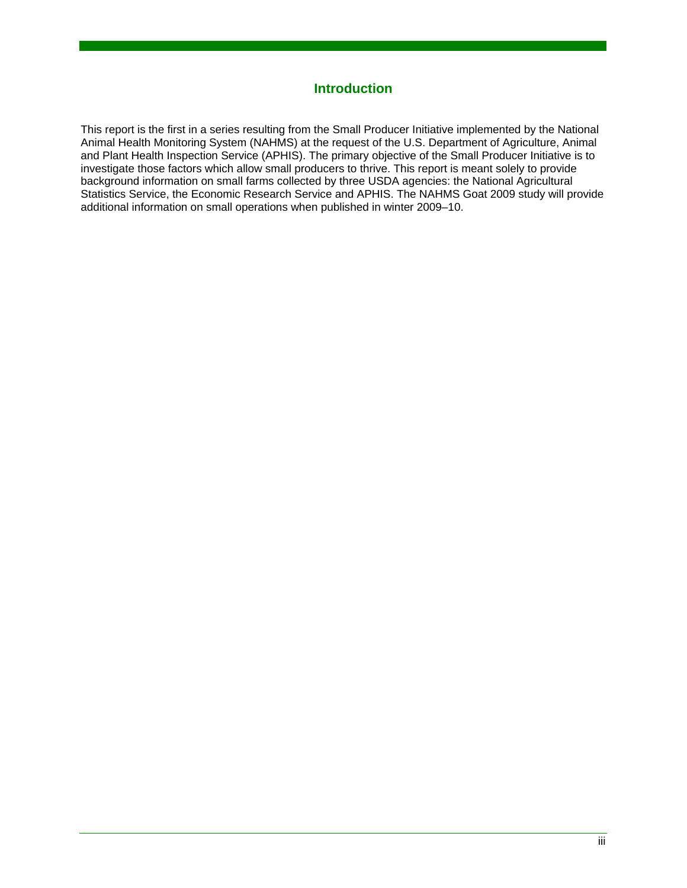#### **Introduction**

This report is the first in a series resulting from the Small Producer Initiative implemented by the National Animal Health Monitoring System (NAHMS) at the request of the U.S. Department of Agriculture, Animal and Plant Health Inspection Service (APHIS). The primary objective of the Small Producer Initiative is to investigate those factors which allow small producers to thrive. This report is meant solely to provide background information on small farms collected by three USDA agencies: the National Agricultural Statistics Service, the Economic Research Service and APHIS. The NAHMS Goat 2009 study will provide additional information on small operations when published in winter 2009–10.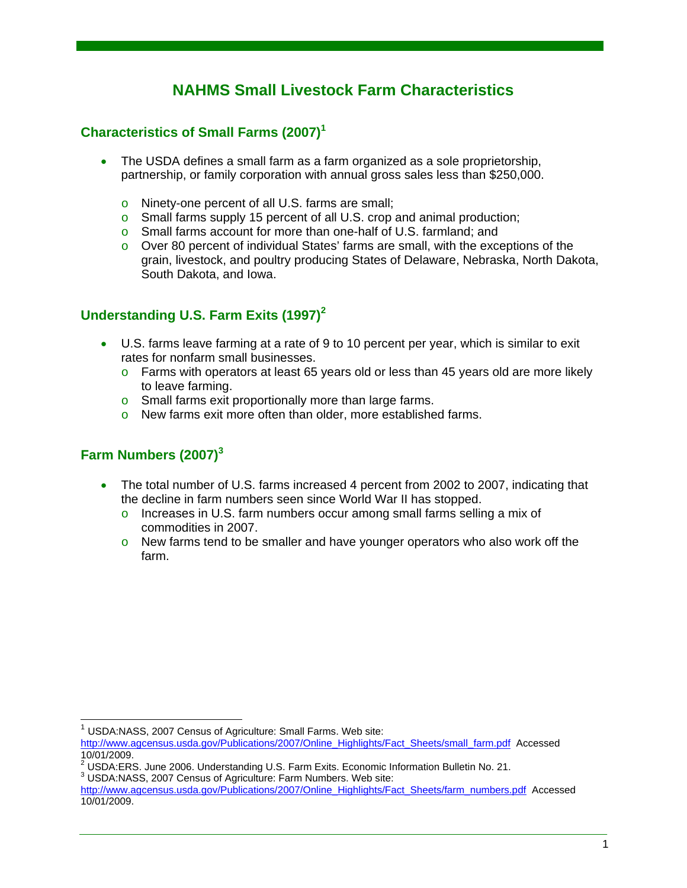# **NAHMS Small Livestock Farm Characteristics**

### **Characteristics of Small Farms (2007)<sup>1</sup>**

- The USDA defines a small farm as a farm organized as a sole proprietorship, partnership, or family corporation with annual gross sales less than \$250,000.
	- o Ninety-one percent of all U.S. farms are small;
	- o Small farms supply 15 percent of all U.S. crop and animal production;
	- o Small farms account for more than one-half of U.S. farmland; and
	- $\circ$  Over 80 percent of individual States' farms are small, with the exceptions of the grain, livestock, and poultry producing States of Delaware, Nebraska, North Dakota, South Dakota, and Iowa.

## **Understanding U.S. Farm Exits (1997)<sup>2</sup>**

- U.S. farms leave farming at a rate of 9 to 10 percent per year, which is similar to exit rates for nonfarm small businesses.
	- $\circ$  Farms with operators at least 65 years old or less than 45 years old are more likely to leave farming.
	- o Small farms exit proportionally more than large farms.
	- o New farms exit more often than older, more established farms.

# **Farm Numbers (2007)<sup>3</sup>**

l

- The total number of U.S. farms increased 4 percent from 2002 to 2007, indicating that the decline in farm numbers seen since World War II has stopped.
	- $\circ$  Increases in U.S. farm numbers occur among small farms selling a mix of commodities in 2007.
	- $\circ$  New farms tend to be smaller and have younger operators who also work off the farm.

<sup>1</sup> USDA:NASS, 2007 Census of Agriculture: Small Farms. Web site:

http://www.agcensus.usda.gov/Publications/2007/Online\_Highlights/Fact\_Sheets/small\_farm.pdf Accessed 10/01/2009.

<sup>&</sup>lt;sup>2</sup> USDA:ERS. June 2006. Understanding U.S. Farm Exits. Economic Information Bulletin No. 21.<br><sup>3</sup> USDA:NASS, 2007 Capaug of Agriculture: Farm Numbers, Web site: USDA:NASS, 2007 Census of Agriculture: Farm Numbers. Web site:

http://www.agcensus.usda.gov/Publications/2007/Online\_Highlights/Fact\_Sheets/farm\_numbers.pdf Accessed 10/01/2009.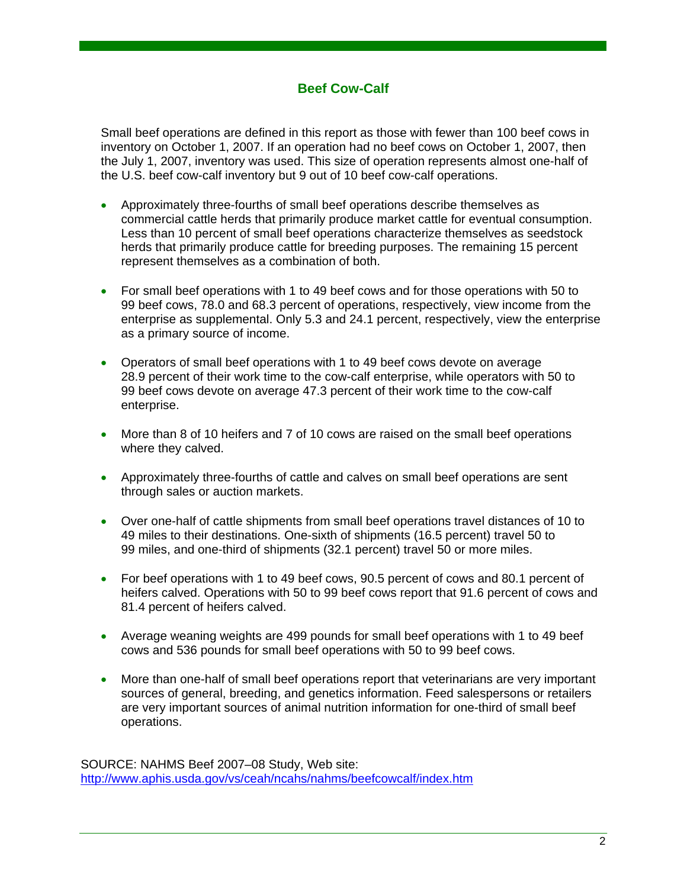#### **Beef Cow-Calf**

Small beef operations are defined in this report as those with fewer than 100 beef cows in inventory on October 1, 2007. If an operation had no beef cows on October 1, 2007, then the July 1, 2007, inventory was used. This size of operation represents almost one-half of the U.S. beef cow-calf inventory but 9 out of 10 beef cow-calf operations.

- Approximately three-fourths of small beef operations describe themselves as commercial cattle herds that primarily produce market cattle for eventual consumption. Less than 10 percent of small beef operations characterize themselves as seedstock herds that primarily produce cattle for breeding purposes. The remaining 15 percent represent themselves as a combination of both.
- For small beef operations with 1 to 49 beef cows and for those operations with 50 to 99 beef cows, 78.0 and 68.3 percent of operations, respectively, view income from the enterprise as supplemental. Only 5.3 and 24.1 percent, respectively, view the enterprise as a primary source of income.
- Operators of small beef operations with 1 to 49 beef cows devote on average 28.9 percent of their work time to the cow-calf enterprise, while operators with 50 to 99 beef cows devote on average 47.3 percent of their work time to the cow-calf enterprise.
- More than 8 of 10 heifers and 7 of 10 cows are raised on the small beef operations where they calved.
- Approximately three-fourths of cattle and calves on small beef operations are sent through sales or auction markets.
- Over one-half of cattle shipments from small beef operations travel distances of 10 to 49 miles to their destinations. One-sixth of shipments (16.5 percent) travel 50 to 99 miles, and one-third of shipments (32.1 percent) travel 50 or more miles.
- For beef operations with 1 to 49 beef cows, 90.5 percent of cows and 80.1 percent of heifers calved. Operations with 50 to 99 beef cows report that 91.6 percent of cows and 81.4 percent of heifers calved.
- Average weaning weights are 499 pounds for small beef operations with 1 to 49 beef cows and 536 pounds for small beef operations with 50 to 99 beef cows.
- More than one-half of small beef operations report that veterinarians are very important sources of general, breeding, and genetics information. Feed salespersons or retailers are very important sources of animal nutrition information for one-third of small beef operations.

SOURCE: NAHMS Beef 2007–08 Study, Web site: http://www.aphis.usda.gov/vs/ceah/ncahs/nahms/beefcowcalf/index.htm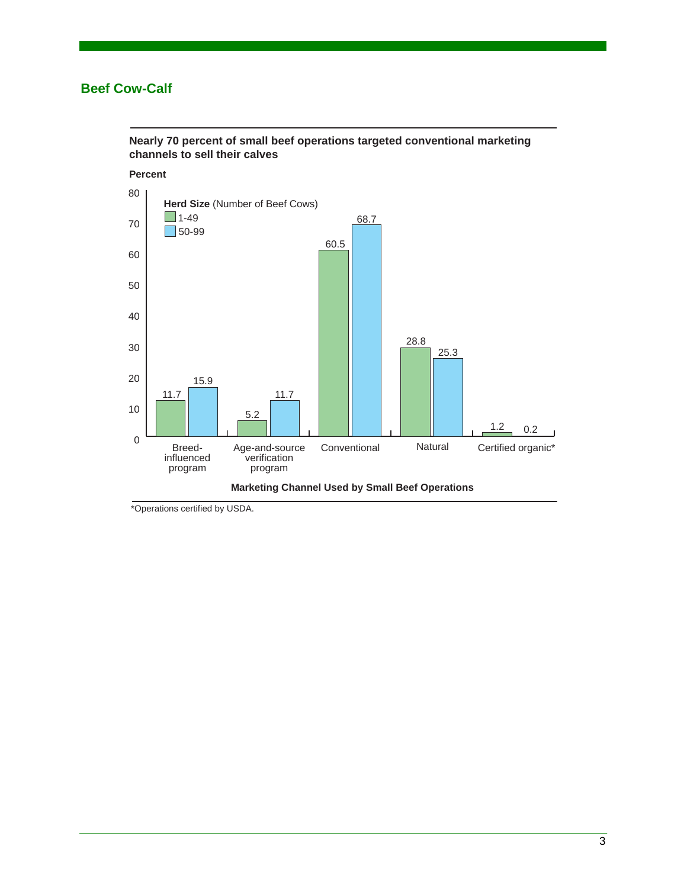#### **Beef Cow-Calf**



**Nearly 70 percent of small beef operations targeted conventional marketing channels to sell their calves** 

\*Operations certified by USDA.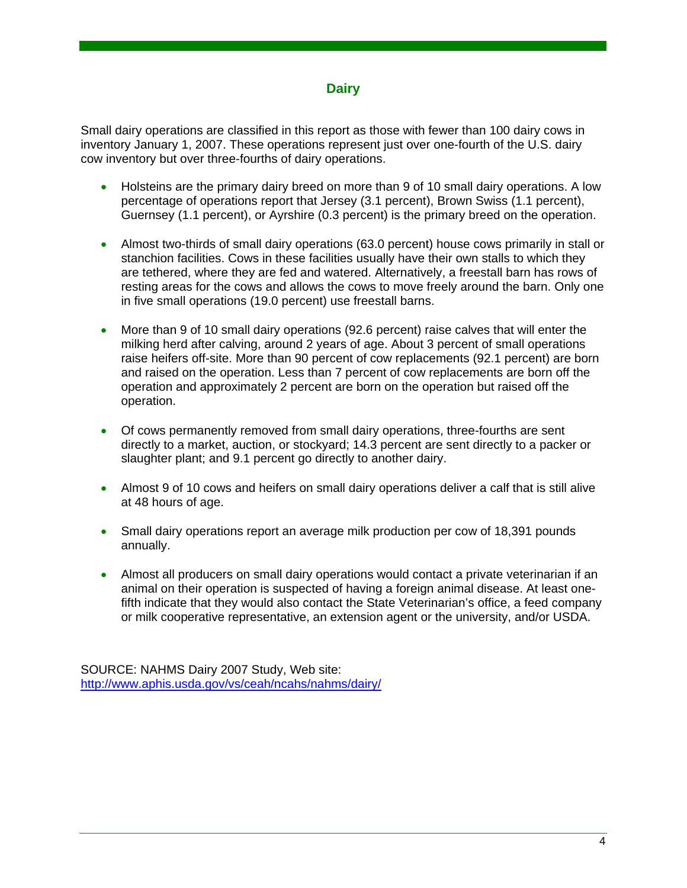#### **Dairy**

Small dairy operations are classified in this report as those with fewer than 100 dairy cows in inventory January 1, 2007. These operations represent just over one-fourth of the U.S. dairy cow inventory but over three-fourths of dairy operations.

- Holsteins are the primary dairy breed on more than 9 of 10 small dairy operations. A low percentage of operations report that Jersey (3.1 percent), Brown Swiss (1.1 percent), Guernsey (1.1 percent), or Ayrshire (0.3 percent) is the primary breed on the operation.
- Almost two-thirds of small dairy operations (63.0 percent) house cows primarily in stall or stanchion facilities. Cows in these facilities usually have their own stalls to which they are tethered, where they are fed and watered. Alternatively, a freestall barn has rows of resting areas for the cows and allows the cows to move freely around the barn. Only one in five small operations (19.0 percent) use freestall barns.
- More than 9 of 10 small dairy operations (92.6 percent) raise calves that will enter the milking herd after calving, around 2 years of age. About 3 percent of small operations raise heifers off-site. More than 90 percent of cow replacements (92.1 percent) are born and raised on the operation. Less than 7 percent of cow replacements are born off the operation and approximately 2 percent are born on the operation but raised off the operation.
- Of cows permanently removed from small dairy operations, three-fourths are sent directly to a market, auction, or stockyard; 14.3 percent are sent directly to a packer or slaughter plant; and 9.1 percent go directly to another dairy.
- Almost 9 of 10 cows and heifers on small dairy operations deliver a calf that is still alive at 48 hours of age.
- Small dairy operations report an average milk production per cow of 18,391 pounds annually.
- Almost all producers on small dairy operations would contact a private veterinarian if an animal on their operation is suspected of having a foreign animal disease. At least onefifth indicate that they would also contact the State Veterinarian's office, a feed company or milk cooperative representative, an extension agent or the university, and/or USDA.

SOURCE: NAHMS Dairy 2007 Study, Web site: http://www.aphis.usda.gov/vs/ceah/ncahs/nahms/dairy/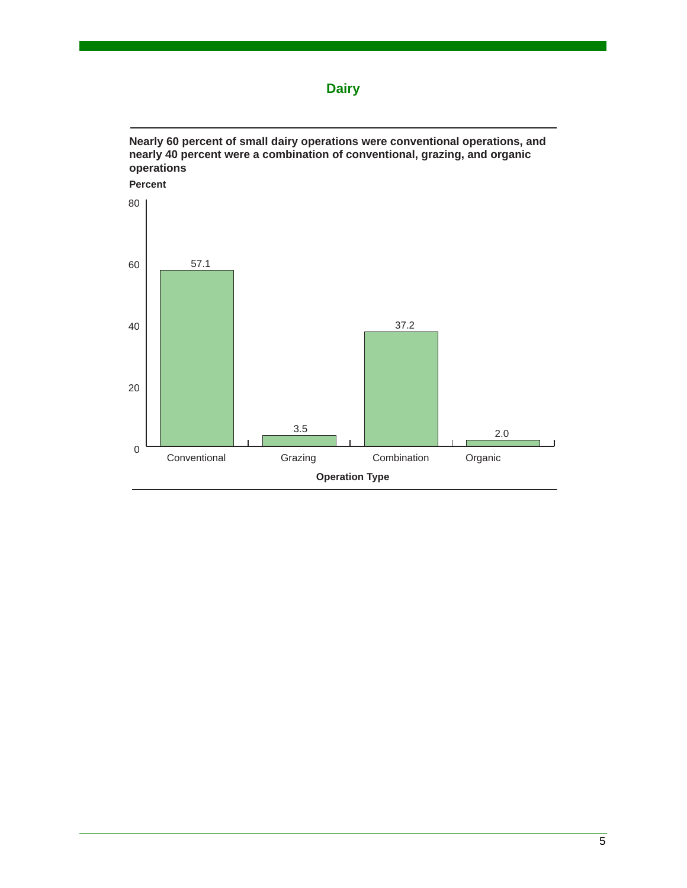



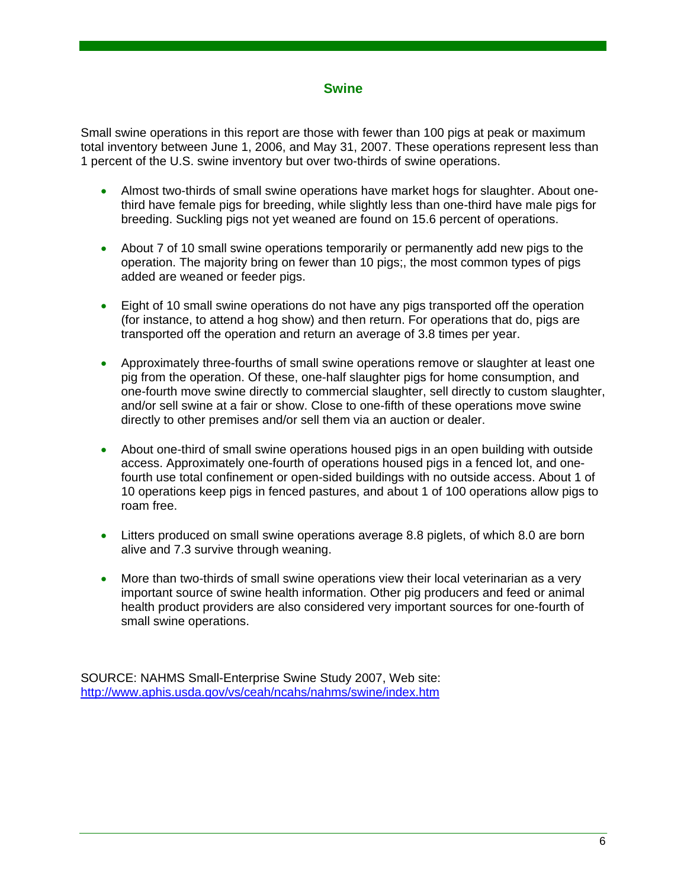#### **Swine**

Small swine operations in this report are those with fewer than 100 pigs at peak or maximum total inventory between June 1, 2006, and May 31, 2007. These operations represent less than 1 percent of the U.S. swine inventory but over two-thirds of swine operations.

- Almost two-thirds of small swine operations have market hogs for slaughter. About onethird have female pigs for breeding, while slightly less than one-third have male pigs for breeding. Suckling pigs not yet weaned are found on 15.6 percent of operations.
- About 7 of 10 small swine operations temporarily or permanently add new pigs to the operation. The majority bring on fewer than 10 pigs;, the most common types of pigs added are weaned or feeder pigs.
- Eight of 10 small swine operations do not have any pigs transported off the operation (for instance, to attend a hog show) and then return. For operations that do, pigs are transported off the operation and return an average of 3.8 times per year.
- Approximately three-fourths of small swine operations remove or slaughter at least one pig from the operation. Of these, one-half slaughter pigs for home consumption, and one-fourth move swine directly to commercial slaughter, sell directly to custom slaughter, and/or sell swine at a fair or show. Close to one-fifth of these operations move swine directly to other premises and/or sell them via an auction or dealer.
- About one-third of small swine operations housed pigs in an open building with outside access. Approximately one-fourth of operations housed pigs in a fenced lot, and onefourth use total confinement or open-sided buildings with no outside access. About 1 of 10 operations keep pigs in fenced pastures, and about 1 of 100 operations allow pigs to roam free.
- Litters produced on small swine operations average 8.8 piglets, of which 8.0 are born alive and 7.3 survive through weaning.
- More than two-thirds of small swine operations view their local veterinarian as a very important source of swine health information. Other pig producers and feed or animal health product providers are also considered very important sources for one-fourth of small swine operations.

SOURCE: NAHMS Small-Enterprise Swine Study 2007, Web site: http://www.aphis.usda.gov/vs/ceah/ncahs/nahms/swine/index.htm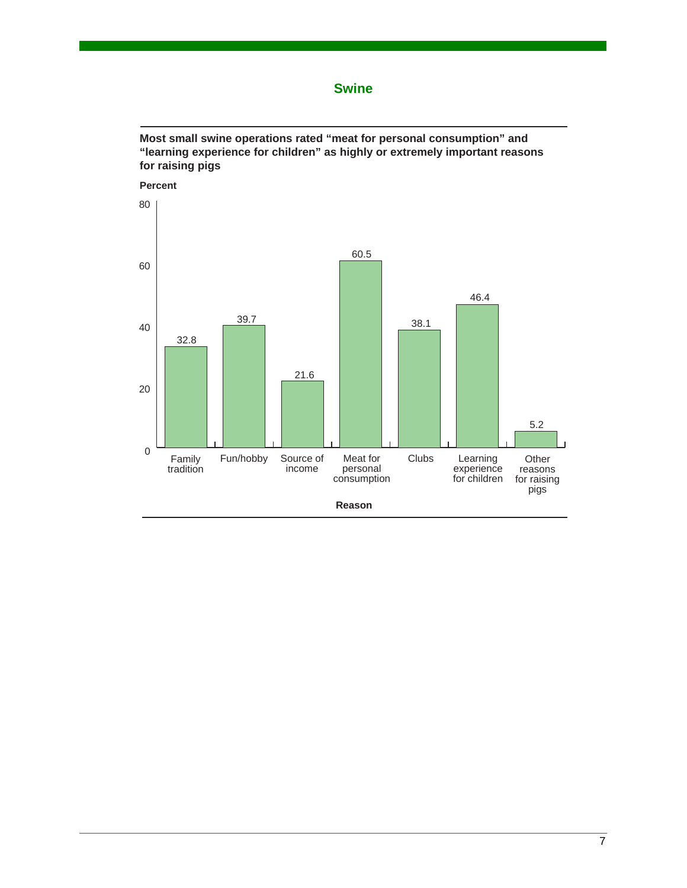**Swine**

**Most small swine operations rated "meat for personal consumption" and "learning experience for children" as highly or extremely important reasons for raising pigs**

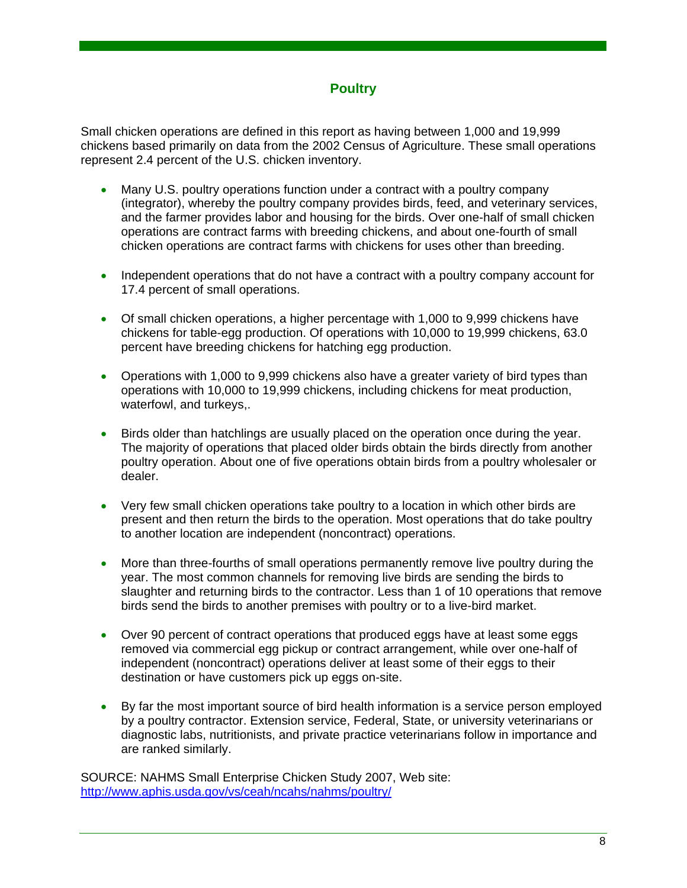#### **Poultry**

Small chicken operations are defined in this report as having between 1,000 and 19,999 chickens based primarily on data from the 2002 Census of Agriculture. These small operations represent 2.4 percent of the U.S. chicken inventory.

- Many U.S. poultry operations function under a contract with a poultry company (integrator), whereby the poultry company provides birds, feed, and veterinary services, and the farmer provides labor and housing for the birds. Over one-half of small chicken operations are contract farms with breeding chickens, and about one-fourth of small chicken operations are contract farms with chickens for uses other than breeding.
- Independent operations that do not have a contract with a poultry company account for 17.4 percent of small operations.
- Of small chicken operations, a higher percentage with 1,000 to 9,999 chickens have chickens for table-egg production. Of operations with 10,000 to 19,999 chickens, 63.0 percent have breeding chickens for hatching egg production.
- Operations with 1,000 to 9,999 chickens also have a greater variety of bird types than operations with 10,000 to 19,999 chickens, including chickens for meat production, waterfowl, and turkeys,.
- Birds older than hatchlings are usually placed on the operation once during the year. The majority of operations that placed older birds obtain the birds directly from another poultry operation. About one of five operations obtain birds from a poultry wholesaler or dealer.
- Very few small chicken operations take poultry to a location in which other birds are present and then return the birds to the operation. Most operations that do take poultry to another location are independent (noncontract) operations.
- More than three-fourths of small operations permanently remove live poultry during the year. The most common channels for removing live birds are sending the birds to slaughter and returning birds to the contractor. Less than 1 of 10 operations that remove birds send the birds to another premises with poultry or to a live-bird market.
- Over 90 percent of contract operations that produced eggs have at least some eggs removed via commercial egg pickup or contract arrangement, while over one-half of independent (noncontract) operations deliver at least some of their eggs to their destination or have customers pick up eggs on-site.
- By far the most important source of bird health information is a service person employed by a poultry contractor. Extension service, Federal, State, or university veterinarians or diagnostic labs, nutritionists, and private practice veterinarians follow in importance and are ranked similarly.

SOURCE: NAHMS Small Enterprise Chicken Study 2007, Web site: http://www.aphis.usda.gov/vs/ceah/ncahs/nahms/poultry/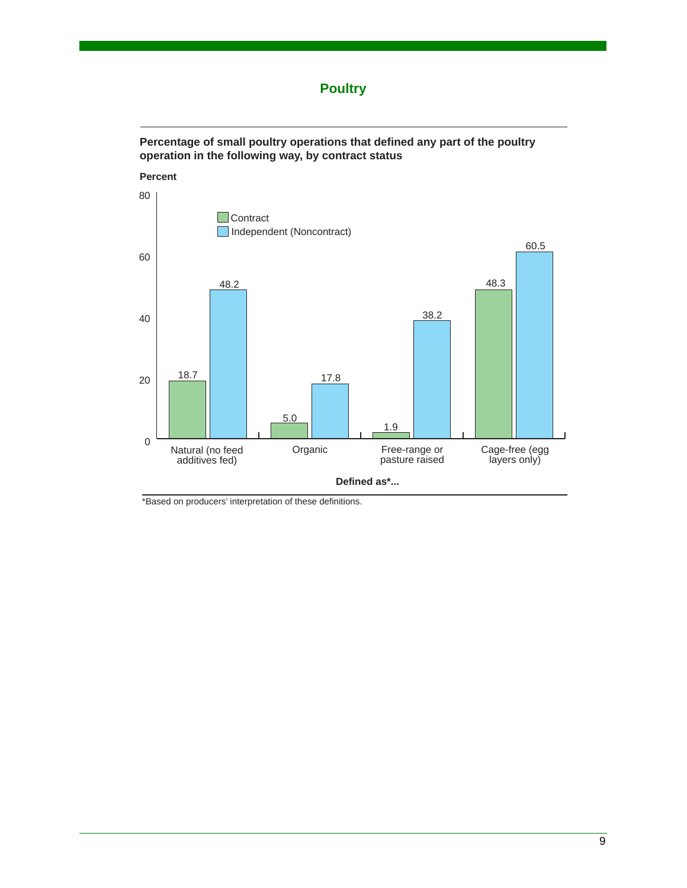## **Poultry**



**Percentage of small poultry operations that defined any part of the poultry** 

\*Based on producers' interpretation of these definitions.